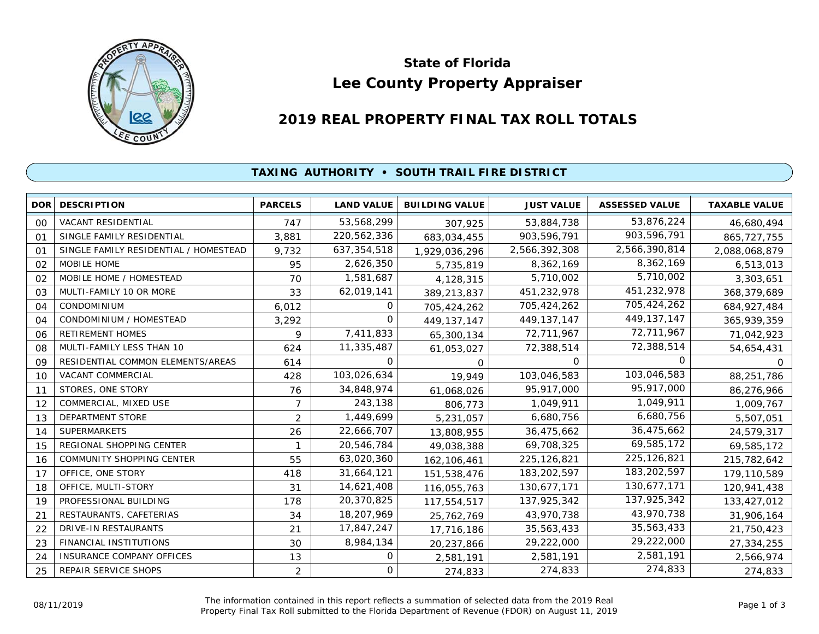

# **Lee County Property Appraiser State of Florida**

# **2019 REAL PROPERTY FINAL TAX ROLL TOTALS**

#### **TAXING AUTHORITY • SOUTH TRAIL FIRE DISTRICT**

| DOR | <b>DESCRIPTION</b>                    | <b>PARCELS</b> | <b>LAND VALUE</b> | <b>BUILDING VALUE</b> | <b>JUST VALUE</b> | <b>ASSESSED VALUE</b> | <b>TAXABLE VALUE</b> |
|-----|---------------------------------------|----------------|-------------------|-----------------------|-------------------|-----------------------|----------------------|
| 00  | <b>VACANT RESIDENTIAL</b>             | 747            | 53,568,299        | 307,925               | 53,884,738        | 53,876,224            | 46,680,494           |
| 01  | SINGLE FAMILY RESIDENTIAL             | 3,881          | 220,562,336       | 683,034,455           | 903,596,791       | 903,596,791           | 865, 727, 755        |
| 01  | SINGLE FAMILY RESIDENTIAL / HOMESTEAD | 9,732          | 637,354,518       | 1,929,036,296         | 2,566,392,308     | 2,566,390,814         | 2,088,068,879        |
| 02  | MOBILE HOME                           | 95             | 2,626,350         | 5,735,819             | 8,362,169         | 8,362,169             | 6,513,013            |
| 02  | MOBILE HOME / HOMESTEAD               | 70             | 1,581,687         | 4,128,315             | 5,710,002         | 5,710,002             | 3,303,651            |
| 03  | MULTI-FAMILY 10 OR MORE               | 33             | 62,019,141        | 389,213,837           | 451,232,978       | 451,232,978           | 368,379,689          |
| 04  | CONDOMINIUM                           | 6,012          | 0                 | 705,424,262           | 705,424,262       | 705,424,262           | 684, 927, 484        |
| 04  | CONDOMINIUM / HOMESTEAD               | 3,292          | $\Omega$          | 449, 137, 147         | 449, 137, 147     | 449, 137, 147         | 365,939,359          |
| 06  | RETIREMENT HOMES                      | 9              | 7,411,833         | 65,300,134            | 72,711,967        | 72,711,967            | 71,042,923           |
| 08  | MULTI-FAMILY LESS THAN 10             | 624            | 11,335,487        | 61,053,027            | 72,388,514        | 72,388,514            | 54,654,431           |
| 09  | RESIDENTIAL COMMON ELEMENTS/AREAS     | 614            | 0                 | 0                     | $\Omega$          | $\Omega$              | $\Omega$             |
| 10  | VACANT COMMERCIAL                     | 428            | 103,026,634       | 19,949                | 103,046,583       | 103,046,583           | 88,251,786           |
| 11  | STORES, ONE STORY                     | 76             | 34,848,974        | 61,068,026            | 95,917,000        | 95,917,000            | 86,276,966           |
| 12  | COMMERCIAL, MIXED USE                 | $\overline{7}$ | 243,138           | 806,773               | 1,049,911         | 1,049,911             | 1,009,767            |
| 13  | <b>DEPARTMENT STORE</b>               | 2              | 1,449,699         | 5,231,057             | 6,680,756         | 6,680,756             | 5,507,051            |
| 14  | <b>SUPERMARKETS</b>                   | 26             | 22,666,707        | 13,808,955            | 36,475,662        | 36,475,662            | 24,579,317           |
| 15  | REGIONAL SHOPPING CENTER              |                | 20,546,784        | 49,038,388            | 69,708,325        | 69,585,172            | 69,585,172           |
| 16  | COMMUNITY SHOPPING CENTER             | 55             | 63,020,360        | 162, 106, 461         | 225, 126, 821     | 225, 126, 821         | 215,782,642          |
| 17  | OFFICE, ONE STORY                     | 418            | 31,664,121        | 151,538,476           | 183,202,597       | 183,202,597           | 179,110,589          |
| 18  | OFFICE, MULTI-STORY                   | 31             | 14,621,408        | 116,055,763           | 130,677,171       | 130,677,171           | 120,941,438          |
| 19  | PROFESSIONAL BUILDING                 | 178            | 20,370,825        | 117,554,517           | 137,925,342       | 137,925,342           | 133,427,012          |
| 21  | RESTAURANTS, CAFETERIAS               | 34             | 18,207,969        | 25,762,769            | 43,970,738        | 43,970,738            | 31,906,164           |
| 22  | DRIVE-IN RESTAURANTS                  | 21             | 17,847,247        | 17,716,186            | 35,563,433        | 35,563,433            | 21,750,423           |
| 23  | <b>FINANCIAL INSTITUTIONS</b>         | 30             | 8,984,134         | 20,237,866            | 29,222,000        | 29,222,000            | 27,334,255           |
| 24  | <b>INSURANCE COMPANY OFFICES</b>      | 13             | 0                 | 2,581,191             | 2,581,191         | 2,581,191             | 2,566,974            |
| 25  | REPAIR SERVICE SHOPS                  | 2              | 0                 | 274,833               | 274,833           | 274,833               | 274,833              |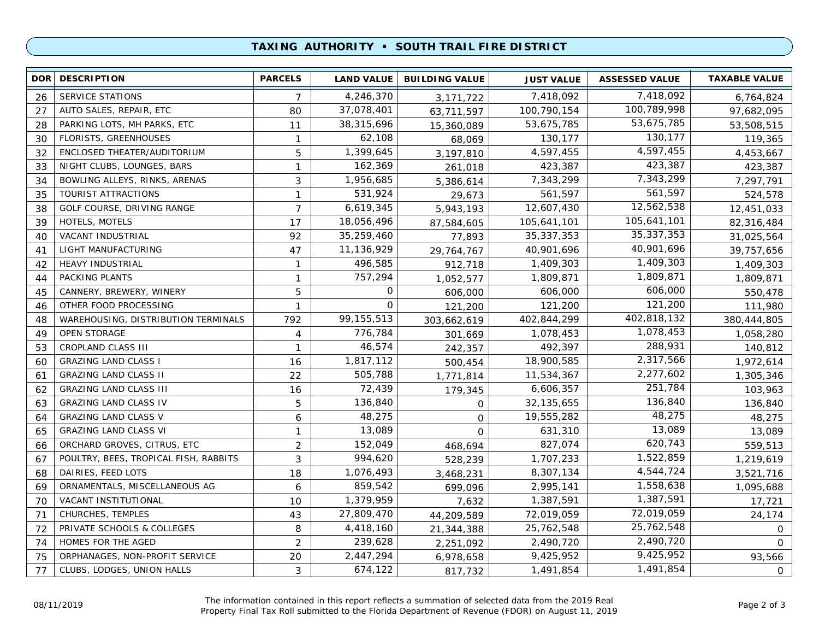## **TAXING AUTHORITY • SOUTH TRAIL FIRE DISTRICT**

| <b>DOR</b> | <b>DESCRIPTION</b>                    | <b>PARCELS</b> | <b>LAND VALUE</b> | <b>BUILDING VALUE</b> | <b>JUST VALUE</b> | <b>ASSESSED VALUE</b> | <b>TAXABLE VALUE</b> |
|------------|---------------------------------------|----------------|-------------------|-----------------------|-------------------|-----------------------|----------------------|
| 26         | <b>SERVICE STATIONS</b>               | 7              | 4,246,370         | 3, 171, 722           | 7,418,092         | 7,418,092             | 6,764,824            |
| 27         | AUTO SALES, REPAIR, ETC               | 80             | 37,078,401        | 63,711,597            | 100,790,154       | 100,789,998           | 97,682,095           |
| 28         | PARKING LOTS, MH PARKS, ETC           | 11             | 38,315,696        | 15,360,089            | 53,675,785        | 53,675,785            | 53,508,515           |
| 30         | <b>FLORISTS, GREENHOUSES</b>          | $\mathbf{1}$   | 62,108            | 68,069                | 130,177           | 130,177               | 119,365              |
| 32         | ENCLOSED THEATER/AUDITORIUM           | 5              | 1,399,645         | 3,197,810             | 4,597,455         | 4,597,455             | 4,453,667            |
| 33         | NIGHT CLUBS, LOUNGES, BARS            | $\mathbf{1}$   | 162,369           | 261,018               | 423,387           | 423,387               | 423,387              |
| 34         | BOWLING ALLEYS, RINKS, ARENAS         | 3              | 1,956,685         | 5,386,614             | 7,343,299         | 7,343,299             | 7,297,791            |
| 35         | <b>TOURIST ATTRACTIONS</b>            | $\mathbf{1}$   | 531,924           | 29,673                | 561,597           | 561,597               | 524,578              |
| 38         | GOLF COURSE, DRIVING RANGE            | $\overline{7}$ | 6,619,345         | 5,943,193             | 12,607,430        | 12,562,538            | 12,451,033           |
| 39         | HOTELS, MOTELS                        | 17             | 18,056,496        | 87,584,605            | 105,641,101       | 105,641,101           | 82,316,484           |
| 40         | VACANT INDUSTRIAL                     | 92             | 35,259,460        | 77,893                | 35, 337, 353      | 35, 337, 353          | 31,025,564           |
| 41         | LIGHT MANUFACTURING                   | 47             | 11,136,929        | 29,764,767            | 40,901,696        | 40,901,696            | 39,757,656           |
| 42         | <b>HEAVY INDUSTRIAL</b>               | $\mathbf{1}$   | 496,585           | 912,718               | 1,409,303         | 1,409,303             | 1,409,303            |
| 44         | PACKING PLANTS                        | $\mathbf{1}$   | 757,294           | 1,052,577             | 1,809,871         | 1,809,871             | 1,809,871            |
| 45         | CANNERY, BREWERY, WINERY              | 5              | 0                 | 606,000               | 606,000           | 606,000               | 550,478              |
| 46         | OTHER FOOD PROCESSING                 | $\mathbf{1}$   | $\mathbf 0$       | 121,200               | 121,200           | 121,200               | 111,980              |
| 48         | WAREHOUSING, DISTRIBUTION TERMINALS   | 792            | 99, 155, 513      | 303,662,619           | 402,844,299       | 402,818,132           | 380,444,805          |
| 49         | <b>OPEN STORAGE</b>                   | 4              | 776,784           | 301,669               | 1,078,453         | 1,078,453             | 1,058,280            |
| 53         | CROPLAND CLASS III                    | $\mathbf{1}$   | 46,574            | 242,357               | 492,397           | 288,931               | 140,812              |
| 60         | <b>GRAZING LAND CLASS I</b>           | 16             | 1,817,112         | 500,454               | 18,900,585        | 2,317,566             | 1,972,614            |
| 61         | <b>GRAZING LAND CLASS II</b>          | 22             | 505,788           | 1,771,814             | 11,534,367        | 2,277,602             | 1,305,346            |
| 62         | <b>GRAZING LAND CLASS III</b>         | 16             | 72,439            | 179,345               | 6,606,357         | 251,784               | 103,963              |
| 63         | <b>GRAZING LAND CLASS IV</b>          | 5              | 136,840           | 0                     | 32, 135, 655      | 136,840               | 136,840              |
| 64         | <b>GRAZING LAND CLASS V</b>           | 6              | 48,275            | $\mathbf{O}$          | 19,555,282        | 48,275                | 48,275               |
| 65         | <b>GRAZING LAND CLASS VI</b>          | $\mathbf{1}$   | 13,089            | $\Omega$              | 631,310           | 13,089                | 13,089               |
| 66         | ORCHARD GROVES, CITRUS, ETC           | $\overline{2}$ | 152,049           | 468,694               | 827,074           | 620,743               | 559,513              |
| 67         | POULTRY, BEES, TROPICAL FISH, RABBITS | 3              | 994,620           | 528,239               | 1,707,233         | 1,522,859             | 1,219,619            |
| 68         | DAIRIES, FEED LOTS                    | 18             | 1,076,493         | 3,468,231             | 8,307,134         | 4,544,724             | 3,521,716            |
| 69         | ORNAMENTALS, MISCELLANEOUS AG         | 6              | 859,542           | 699,096               | 2,995,141         | 1,558,638             | 1,095,688            |
| 70         | VACANT INSTITUTIONAL                  | 10             | 1,379,959         | 7,632                 | 1,387,591         | 1,387,591             | 17,721               |
| 71         | CHURCHES, TEMPLES                     | 43             | 27,809,470        | 44,209,589            | 72,019,059        | 72,019,059            | 24,174               |
| 72         | PRIVATE SCHOOLS & COLLEGES            | 8              | 4,418,160         | 21,344,388            | 25,762,548        | 25,762,548            | 0                    |
| 74         | HOMES FOR THE AGED                    | 2              | 239,628           | 2,251,092             | 2,490,720         | 2,490,720             | $\Omega$             |
| 75         | ORPHANAGES, NON-PROFIT SERVICE        | 20             | 2,447,294         | 6,978,658             | 9,425,952         | 9,425,952             | 93,566               |
| 77         | CLUBS, LODGES, UNION HALLS            | 3              | 674,122           | 817,732               | 1,491,854         | 1,491,854             | 0                    |